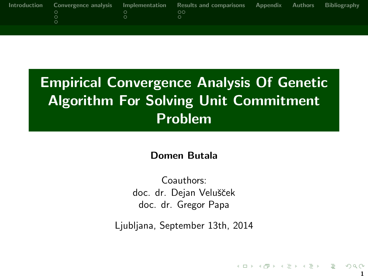|  | Introduction Convergence analysis Implementation Results and comparisons Appendix Authors Bibliography |  |  |
|--|--------------------------------------------------------------------------------------------------------|--|--|
|  | ററ                                                                                                     |  |  |
|  |                                                                                                        |  |  |
|  |                                                                                                        |  |  |

# Empirical Convergence Analysis Of Genetic Algorithm For Solving Unit Commitment Problem

#### Domen Butala

Coauthors: doc. dr. Dejan Velušček doc. dr. Gregor Papa

Ljubljana, September 13th, 2014

1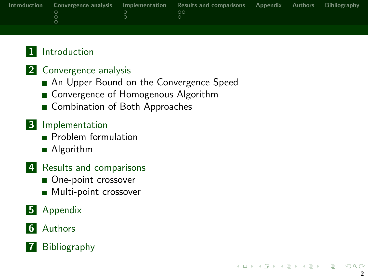|  | Introduction Convergence analysis Implementation Results and comparisons Appendix Authors Bibliography |  |  |
|--|--------------------------------------------------------------------------------------------------------|--|--|
|  | ററ                                                                                                     |  |  |
|  |                                                                                                        |  |  |
|  |                                                                                                        |  |  |
|  |                                                                                                        |  |  |

#### 1 [Introduction](#page-2-0)

#### 2 [Convergence analysis](#page-6-0)

- [An Upper Bound on the Convergence Speed](#page-6-0)
- [Convergence of Homogenous Algorithm](#page-7-0)
- [Combination of Both Approaches](#page-8-0)

#### 3 [Implementation](#page-9-0)

- **[Problem formulation](#page-9-0)**
- [Algorithm](#page-10-0)
- 4 [Results and comparisons](#page-15-0)
	- [One-point crossover](#page-15-0)
	- **[Multi-point crossover](#page-17-0)**
- **5** [Appendix](#page-18-0)

#### 6 [Authors](#page-19-0)

#### **7** [Bibliography](#page-20-0)

K ロ > K (部) > K 등 > K 등 > 11 등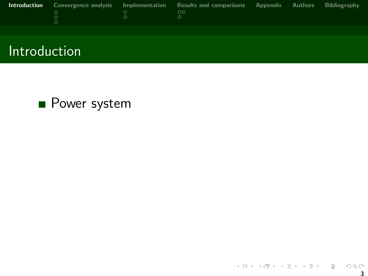<span id="page-2-0"></span>

|  | <b>Introduction</b> Convergence analysis Implementation Results and comparisons Appendix Authors Bibliography |  |  |
|--|---------------------------------------------------------------------------------------------------------------|--|--|
|  | ററ                                                                                                            |  |  |
|  |                                                                                                               |  |  |
|  |                                                                                                               |  |  |

## Introduction

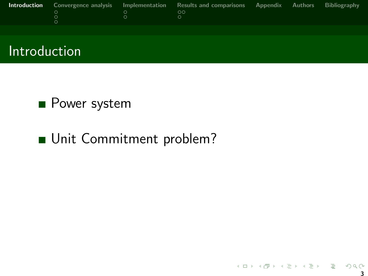|  | <b>Introduction</b> Convergence analysis Implementation Results and comparisons Appendix Authors Bibliography |  |  |
|--|---------------------------------------------------------------------------------------------------------------|--|--|
|  | ററ                                                                                                            |  |  |
|  |                                                                                                               |  |  |
|  |                                                                                                               |  |  |



### **Power system**

## Unit Commitment problem?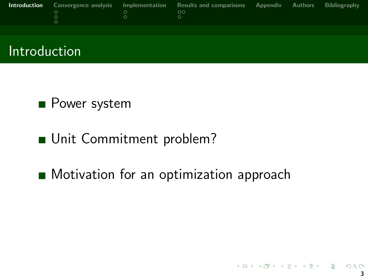|  | <b>Introduction</b> Convergence analysis Implementation Results and comparisons Appendix Authors Bibliography |  |  |
|--|---------------------------------------------------------------------------------------------------------------|--|--|
|  | ററ                                                                                                            |  |  |
|  |                                                                                                               |  |  |
|  |                                                                                                               |  |  |



## **Power system**

## Unit Commitment problem?

## **Motivation for an optimization approach**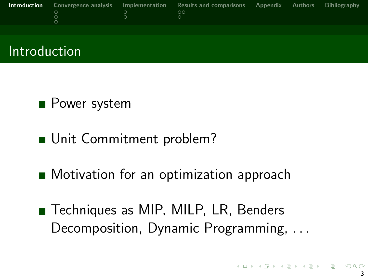|  | <b>Introduction</b> Convergence analysis Implementation Results and comparisons Appendix Authors Bibliography |  |  |
|--|---------------------------------------------------------------------------------------------------------------|--|--|
|  | ററ                                                                                                            |  |  |
|  |                                                                                                               |  |  |
|  |                                                                                                               |  |  |



## **Power system**

## Unit Commitment problem?

- **Motivation for an optimization approach**
- Techniques as MIP, MILP, LR, Benders Decomposition, Dynamic Programming, . . .

 $A \equiv \mathbf{1} \times A \equiv \mathbf{1} \times A \equiv \mathbf{1} \times A \equiv \mathbf{1} \times \mathbf{1} \equiv \mathbf{1}$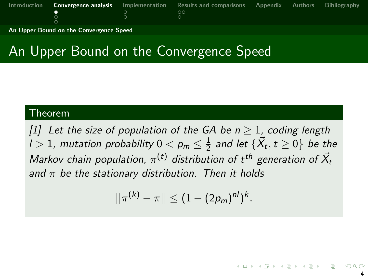<span id="page-6-0"></span>

|  | Introduction <b>Convergence analysis</b> Implementation Results and comparisons Appendix Authors Bibliography |  |  |
|--|---------------------------------------------------------------------------------------------------------------|--|--|
|  | _ ററ                                                                                                          |  |  |
|  |                                                                                                               |  |  |
|  |                                                                                                               |  |  |

[An Upper Bound on the Convergence Speed](#page-6-0)

# An Upper Bound on the Convergence Speed

#### Theorem

[\[1\]](#page-20-1) Let the size of population of the GA be  $n \geq 1$ , coding length  $l>1$ , mutation probability  $0< p_m\leq \frac{1}{2}$  $\frac{1}{2}$  and let  $\{\vec{X_t},t\geq 0\}$  be the Markov chain population,  $\pi^{(t)}$  distribution of  $t^{th}$  generation of  $\vec{X}_t$ and  $\pi$  be the stationary distribution. Then it holds

$$
||\pi^{(k)} - \pi|| \leq (1 - (2p_m)^{n/2})^k.
$$

4

지수는 지금 아이를 지나가고 있다.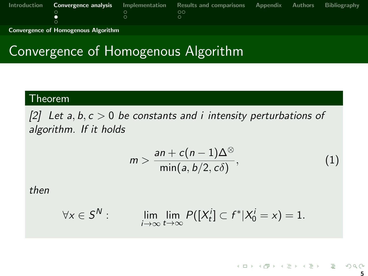<span id="page-7-0"></span>

|  |                                    | Introduction <b>Convergence analysis</b> Implementation Results and comparisons Appendix Authors Bibliography |  |  |
|--|------------------------------------|---------------------------------------------------------------------------------------------------------------|--|--|
|  | $\sim$ $\sim$ $\sim$ $\sim$ $\sim$ | _ ററ                                                                                                          |  |  |
|  |                                    |                                                                                                               |  |  |
|  |                                    |                                                                                                               |  |  |

[Convergence of Homogenous Algorithm](#page-7-0)

# Convergence of Homogenous Algorithm

#### Theorem

[\[2\]](#page-20-2) Let  $a, b, c > 0$  be constants and i intensity perturbations of algorithm. If it holds

$$
m > \frac{an + c(n-1)\Delta^{\otimes}}{\min(a, b/2, c\delta)},
$$
\n(1)

then

$$
\forall x \in S^N: \qquad \lim_{i \to \infty} \lim_{t \to \infty} P([X_t^i] \subset f^* | X_0^i = x) = 1.
$$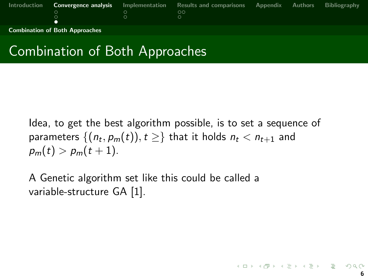<span id="page-8-0"></span>

| Introduction |                                       | <b>Convergence analysis</b> Implementation Results and comparisons | <b>Appendix</b> | Authors | <b>Bibliography</b> |
|--------------|---------------------------------------|--------------------------------------------------------------------|-----------------|---------|---------------------|
|              |                                       | ററ                                                                 |                 |         |                     |
|              |                                       |                                                                    |                 |         |                     |
|              |                                       |                                                                    |                 |         |                     |
|              | <b>Combination of Both Approaches</b> |                                                                    |                 |         |                     |

# Combination of Both Approaches

Idea, to get the best algorithm possible, is to set a sequence of parameters  $\{(n_t, \rho_m(t)), t\geq\}$  that it holds  $n_t < n_{t+1}$  and  $p_m(t) > p_m(t+1)$ .

A Genetic algorithm set like this could be called a variable-structure GA [\[1\]](#page-20-1).

K ロ > K d > K 로 > K 로 > 트로 → O Q @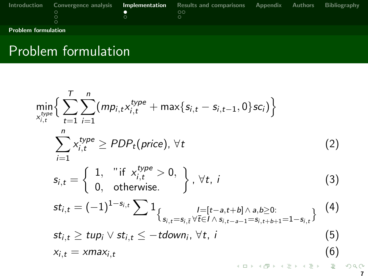<span id="page-9-0"></span>

| Introduction               |  | Convergence analysis buttomentation Results and comparisons Appendix Authors<br>OС |  | <b>Bibliography</b> |
|----------------------------|--|------------------------------------------------------------------------------------|--|---------------------|
| <b>Problem formulation</b> |  |                                                                                    |  |                     |

# Problem formulation

$$
\min_{x_{i,t}^{type}} \left\{ \sum_{t=1}^{T} \sum_{i=1}^{n} (mp_{i,t}x_{i,t}^{type} + \max\{s_{i,t} - s_{i,t-1}, 0\}sc_i) \right\}
$$
\n
$$
\sum_{i=1}^{n} x_{i,t}^{type} \ge PDP_t(price), \forall t
$$
\n(2)\n
$$
s_{i,t} = \left\{ 1, \quad \text{if } x_{i,t}^{type} > 0, \atop 0, \quad \text{otherwise.} \right\}, \forall t, i
$$
\n(3)\n
$$
st_{i,t} = (-1)^{1-s_{i,t}} \sum_{s_{i,t} = s_{i,t} \forall t \in I \land s_{i,t-a-1} = s_{i,t+b+1} = 1-s_{i,t}} \quad (4)
$$
\n
$$
st_{i,t} \ge tup_i \lor st_{i,t} \le -tdown_i, \forall t, i
$$
\n(5)\n
$$
x_{i,t} = xmax_{i,t} \quad (6)
$$

 $2Q$ 7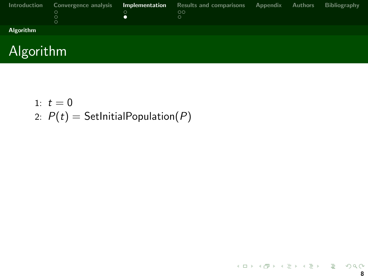<span id="page-10-0"></span>

| Introduction | Convergence analysis<br>$\circ$ | Implementation | <b>Results and comparisons</b><br>$\circ$ | Appendix | Authors | Bibliography |
|--------------|---------------------------------|----------------|-------------------------------------------|----------|---------|--------------|
| Algorithm    |                                 |                |                                           |          |         |              |
|              |                                 |                |                                           |          |         |              |



- 1:  $t = 0$
- 2:  $P(t) = \text{SetInitialPopulation}(P)$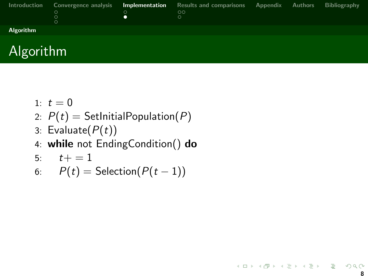<span id="page-11-0"></span>

| Introduction | Convergence analysis | <b>Implementation</b> Results and comparisons Appendix Authors<br>ററ |  | Bibliography |
|--------------|----------------------|----------------------------------------------------------------------|--|--------------|
| Algorithm    |                      |                                                                      |  |              |
|              |                      |                                                                      |  |              |



- 1:  $t = 0$
- 2:  $P(t) = \text{SetInitialPopulation}(P)$
- 3: Evaluate $(P(t))$
- 4: while not EndingCondition() do
- 5:  $t+=1$
- 6:  $P(t) = \text{Selection}(P(t-1))$

K ロ > K @ > K 할 > K 할 > → 할 → 9 Q Q\*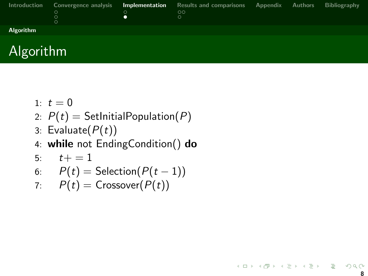<span id="page-12-0"></span>

| Introduction     | Convergence analysis<br>О | <b>Implementation</b> Results and comparisons Appendix Authors<br>ററ |  | Bibliography |
|------------------|---------------------------|----------------------------------------------------------------------|--|--------------|
| <b>Algorithm</b> |                           |                                                                      |  |              |



- 1:  $t = 0$
- 2:  $P(t) = \text{SetInitialPopulation}(P)$
- 3: Evaluate $(P(t))$
- 4: while not EndingCondition() do
- 5:  $t+ = 1$
- 6:  $P(t) = \text{Selection}(P(t-1))$
- 7:  $P(t) = \text{Crossover}(P(t))$

K ロ > K 個 > K 평 > K 평 > H 평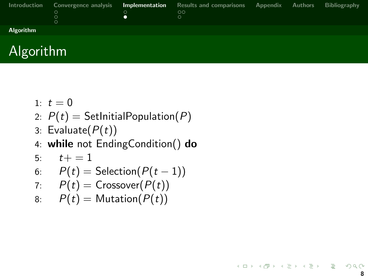<span id="page-13-0"></span>

| Introduction | Convergence analysis | <b>Implementation</b> Results and comparisons Appendix Authors |  | Bibliography |
|--------------|----------------------|----------------------------------------------------------------|--|--------------|
|              |                      | $\circ$                                                        |  |              |
|              |                      |                                                                |  |              |
|              |                      |                                                                |  |              |
| Algorithm    |                      |                                                                |  |              |
|              |                      |                                                                |  |              |



- 1:  $t = 0$
- 2:  $P(t) = \text{SetInitialPopulation}(P)$
- 3: Evaluate $(P(t))$
- 4: while not EndingCondition() do
- 5:  $t+ = 1$

6: 
$$
P(t) = \text{Selection}(P(t-1))
$$

7: 
$$
P(t) = \text{Crossover}(P(t))
$$

8:  $P(t) =$  Mutation( $P(t)$ )

K ロ > K @ > K 할 > K 할 > → 할 → 9 Q Q\*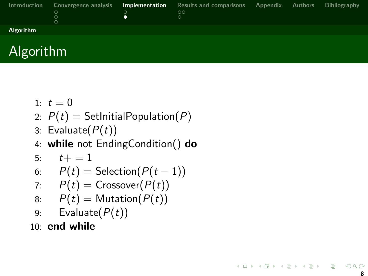<span id="page-14-0"></span>

| Introduction | Convergence analysis | <b>Implementation</b> Results and comparisons Appendix Authors |  | Bibliography |
|--------------|----------------------|----------------------------------------------------------------|--|--------------|
|              |                      | $\circ$                                                        |  |              |
|              |                      |                                                                |  |              |
|              |                      |                                                                |  |              |
| Algorithm    |                      |                                                                |  |              |
|              |                      |                                                                |  |              |



- 1:  $t = 0$
- 2:  $P(t) = \text{SetInitialPopulation}(P)$
- 3: Evaluate $(P(t))$
- 4: while not EndingCondition() do
- 5:  $t+ = 1$

6: 
$$
P(t) = \text{Selection}(P(t-1))
$$

7: 
$$
P(t) = \text{Crossover}(P(t))
$$

- 8:  $P(t) =$  Mutation( $P(t)$ )
- 9: Evaluate $(P(t))$

10: end while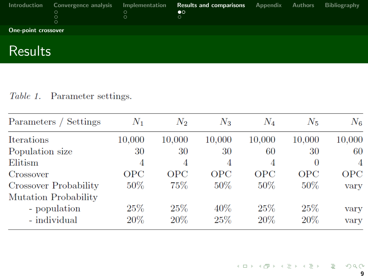<span id="page-15-0"></span>

| Introduction        | Convergence analysis<br>$\circ$<br>∩ | Implementation | <b>Results and comparisons</b><br>$\bullet$ | <b>Appendix</b> Authors | Bibliography |
|---------------------|--------------------------------------|----------------|---------------------------------------------|-------------------------|--------------|
| One-point crossover |                                      |                |                                             |                         |              |
|                     |                                      |                |                                             |                         |              |

#### **Results**

#### Table 1. Parameter settings.

| Parameters / Settings | $N_1$      | $N_2$      | $N_3$      | $N_4$      | $N_{5}$    | $N_6$          |
|-----------------------|------------|------------|------------|------------|------------|----------------|
| Iterations            | 10.000     | 10,000     | 10.000     | 10,000     | 10.000     | 10,000         |
| Population size       | 30         | 30         | 30         | 60         | 30         | 60             |
| Elitism               | 4          | 4          | 4          | 4          |            | $\overline{A}$ |
| Crossover             | <b>OPC</b> | <b>OPC</b> | <b>OPC</b> | <b>OPC</b> | <b>OPC</b> | <b>OPC</b>     |
| Crossover Probability | $50\%$     | 75%        | $50\%$     | $50\%$     | $50\%$     | vary           |
| Mutation Probability  |            |            |            |            |            |                |
| - population          | 25%        | 25%        | $40\%$     | 25%        | 25%        | vary           |
| - individual          | $20\%$     | 20%        | 25%        | $20\%$     | 20\%       | vary           |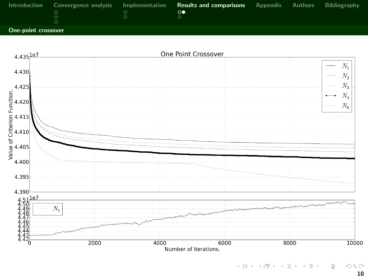<span id="page-16-0"></span>

|                     |  | Introduction Convergence analysis Implementation Results and comparisons Appendix Authors Bibliography |  |  |
|---------------------|--|--------------------------------------------------------------------------------------------------------|--|--|
|                     |  | $\circ \bullet$                                                                                        |  |  |
|                     |  |                                                                                                        |  |  |
|                     |  |                                                                                                        |  |  |
| One-noint crossover |  |                                                                                                        |  |  |

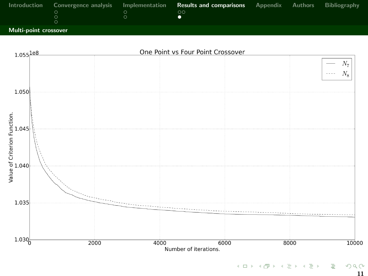<span id="page-17-0"></span>

|  | Introduction Convergence analysis Implementation Results and comparisons Appendix Authors Bibliography |  |  |
|--|--------------------------------------------------------------------------------------------------------|--|--|
|  | ററ                                                                                                     |  |  |
|  |                                                                                                        |  |  |
|  |                                                                                                        |  |  |
|  |                                                                                                        |  |  |

[Multi-point crossover](#page-17-0)

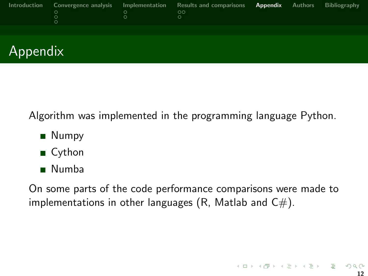<span id="page-18-0"></span>

| Introduction | Convergence analysis<br>O | Implementation<br>Ω | Results and comparisons<br>$\circ$<br>$\circ$ | Appendix | Authors | Bibliography |  |
|--------------|---------------------------|---------------------|-----------------------------------------------|----------|---------|--------------|--|
|              |                           |                     |                                               |          |         |              |  |
| Appendix     |                           |                     |                                               |          |         |              |  |

Algorithm was implemented in the programming language Python.

- **Numpy**
- Cython
- Numba

On some parts of the code performance comparisons were made to implementations in other languages (R, Matlab and  $C#$ ).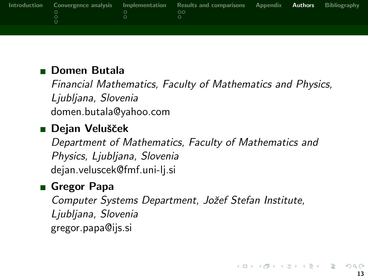<span id="page-19-0"></span>

|  | Introduction Convergence analysis Implementation Results and comparisons Appendix <b>Authors</b> Bibliography<br>ററ |  |  |
|--|---------------------------------------------------------------------------------------------------------------------|--|--|
|  |                                                                                                                     |  |  |

#### **Domen Butala**

Financial Mathematics, Faculty of Mathematics and Physics, Ljubljana, Slovenia domen.butala@yahoo.com

#### ■ Dejan Velušček

Department of Mathematics, Faculty of Mathematics and Physics, Ljubljana, Slovenia dejan.veluscek@fmf.uni-lj.si

#### Gregor Papa

Computer Systems Department, Jožef Stefan Institute, Ljubljana, Slovenia gregor.papa@ijs.si

K ロ X K (例) X X 등 X X 등 X (등 )